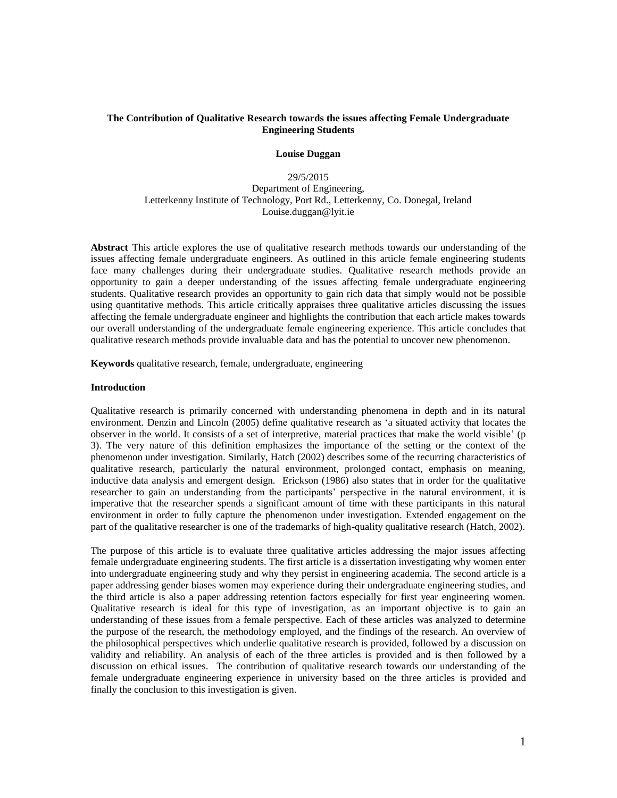# **The Contribution of Qualitative Research towards the issues affecting Female Undergraduate Engineering Students**

#### **Louise Duggan**

# 29/5/2015 Department of Engineering, Letterkenny Institute of Technology, Port Rd., Letterkenny, Co. Donegal, Ireland Louise.duggan@lyit.ie

**Abstract** This article explores the use of qualitative research methods towards our understanding of the issues affecting female undergraduate engineers. As outlined in this article female engineering students face many challenges during their undergraduate studies. Qualitative research methods provide an opportunity to gain a deeper understanding of the issues affecting female undergraduate engineering students. Qualitative research provides an opportunity to gain rich data that simply would not be possible using quantitative methods. This article critically appraises three qualitative articles discussing the issues affecting the female undergraduate engineer and highlights the contribution that each article makes towards our overall understanding of the undergraduate female engineering experience. This article concludes that qualitative research methods provide invaluable data and has the potential to uncover new phenomenon.

**Keywords** qualitative research, female, undergraduate, engineering

# **Introduction**

Qualitative research is primarily concerned with understanding phenomena in depth and in its natural environment. Denzin and Lincoln (2005) define qualitative research as 'a situated activity that locates the observer in the world. It consists of a set of interpretive, material practices that make the world visible' (p 3). The very nature of this definition emphasizes the importance of the setting or the context of the phenomenon under investigation. Similarly, Hatch (2002) describes some of the recurring characteristics of qualitative research, particularly the natural environment, prolonged contact, emphasis on meaning, inductive data analysis and emergent design. Erickson (1986) also states that in order for the qualitative researcher to gain an understanding from the participants' perspective in the natural environment, it is imperative that the researcher spends a significant amount of time with these participants in this natural environment in order to fully capture the phenomenon under investigation. Extended engagement on the part of the qualitative researcher is one of the trademarks of high-quality qualitative research (Hatch, 2002).

The purpose of this article is to evaluate three qualitative articles addressing the major issues affecting female undergraduate engineering students. The first article is a dissertation investigating why women enter into undergraduate engineering study and why they persist in engineering academia. The second article is a paper addressing gender biases women may experience during their undergraduate engineering studies, and the third article is also a paper addressing retention factors especially for first year engineering women. Qualitative research is ideal for this type of investigation, as an important objective is to gain an understanding of these issues from a female perspective. Each of these articles was analyzed to determine the purpose of the research, the methodology employed, and the findings of the research. An overview of the philosophical perspectives which underlie qualitative research is provided, followed by a discussion on validity and reliability. An analysis of each of the three articles is provided and is then followed by a discussion on ethical issues. The contribution of qualitative research towards our understanding of the female undergraduate engineering experience in university based on the three articles is provided and finally the conclusion to this investigation is given.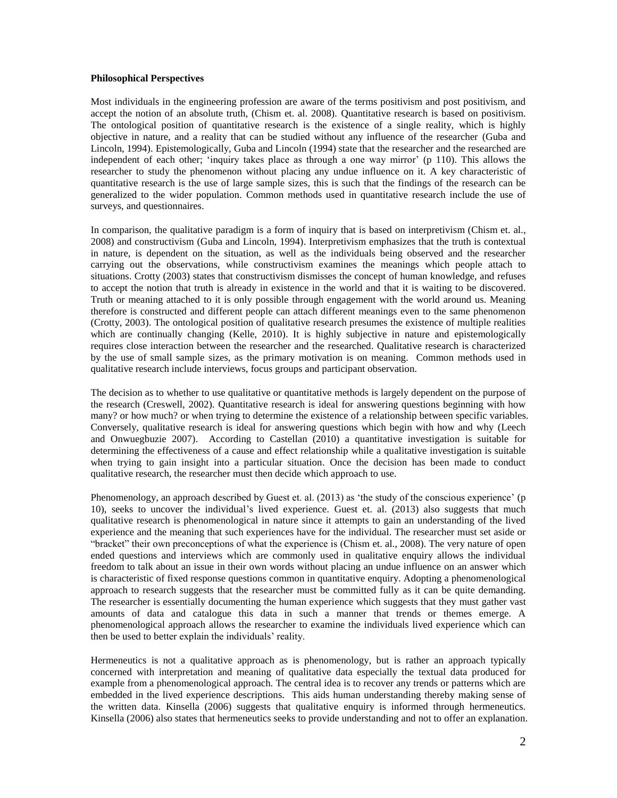# **Philosophical Perspectives**

Most individuals in the engineering profession are aware of the terms positivism and post positivism, and accept the notion of an absolute truth, (Chism et. al. 2008). Quantitative research is based on positivism. The ontological position of quantitative research is the existence of a single reality, which is highly objective in nature, and a reality that can be studied without any influence of the researcher (Guba and Lincoln, 1994). Epistemologically, Guba and Lincoln (1994) state that the researcher and the researched are independent of each other; 'inquiry takes place as through a one way mirror' (p 110). This allows the researcher to study the phenomenon without placing any undue influence on it. A key characteristic of quantitative research is the use of large sample sizes, this is such that the findings of the research can be generalized to the wider population. Common methods used in quantitative research include the use of surveys, and questionnaires.

In comparison, the qualitative paradigm is a form of inquiry that is based on interpretivism (Chism et. al., 2008) and constructivism (Guba and Lincoln, 1994). Interpretivism emphasizes that the truth is contextual in nature, is dependent on the situation, as well as the individuals being observed and the researcher carrying out the observations, while constructivism examines the meanings which people attach to situations. Crotty (2003) states that constructivism dismisses the concept of human knowledge, and refuses to accept the notion that truth is already in existence in the world and that it is waiting to be discovered. Truth or meaning attached to it is only possible through engagement with the world around us. Meaning therefore is constructed and different people can attach different meanings even to the same phenomenon (Crotty, 2003). The ontological position of qualitative research presumes the existence of multiple realities which are continually changing (Kelle, 2010). It is highly subjective in nature and epistemologically requires close interaction between the researcher and the researched. Qualitative research is characterized by the use of small sample sizes, as the primary motivation is on meaning. Common methods used in qualitative research include interviews, focus groups and participant observation.

The decision as to whether to use qualitative or quantitative methods is largely dependent on the purpose of the research (Creswell, 2002). Quantitative research is ideal for answering questions beginning with how many? or how much? or when trying to determine the existence of a relationship between specific variables. Conversely, qualitative research is ideal for answering questions which begin with how and why (Leech and Onwuegbuzie 2007). According to Castellan (2010) a quantitative investigation is suitable for determining the effectiveness of a cause and effect relationship while a qualitative investigation is suitable when trying to gain insight into a particular situation. Once the decision has been made to conduct qualitative research, the researcher must then decide which approach to use.

Phenomenology, an approach described by Guest et. al. (2013) as 'the study of the conscious experience' (p 10), seeks to uncover the individual's lived experience. Guest et. al. (2013) also suggests that much qualitative research is phenomenological in nature since it attempts to gain an understanding of the lived experience and the meaning that such experiences have for the individual. The researcher must set aside or "bracket" their own preconceptions of what the experience is (Chism et. al., 2008). The very nature of open ended questions and interviews which are commonly used in qualitative enquiry allows the individual freedom to talk about an issue in their own words without placing an undue influence on an answer which is characteristic of fixed response questions common in quantitative enquiry. Adopting a phenomenological approach to research suggests that the researcher must be committed fully as it can be quite demanding. The researcher is essentially documenting the human experience which suggests that they must gather vast amounts of data and catalogue this data in such a manner that trends or themes emerge. A phenomenological approach allows the researcher to examine the individuals lived experience which can then be used to better explain the individuals' reality.

Hermeneutics is not a qualitative approach as is phenomenology, but is rather an approach typically concerned with interpretation and meaning of qualitative data especially the textual data produced for example from a phenomenological approach. The central idea is to recover any trends or patterns which are embedded in the lived experience descriptions. This aids human understanding thereby making sense of the written data. Kinsella (2006) suggests that qualitative enquiry is informed through hermeneutics. Kinsella (2006) also states that hermeneutics seeks to provide understanding and not to offer an explanation.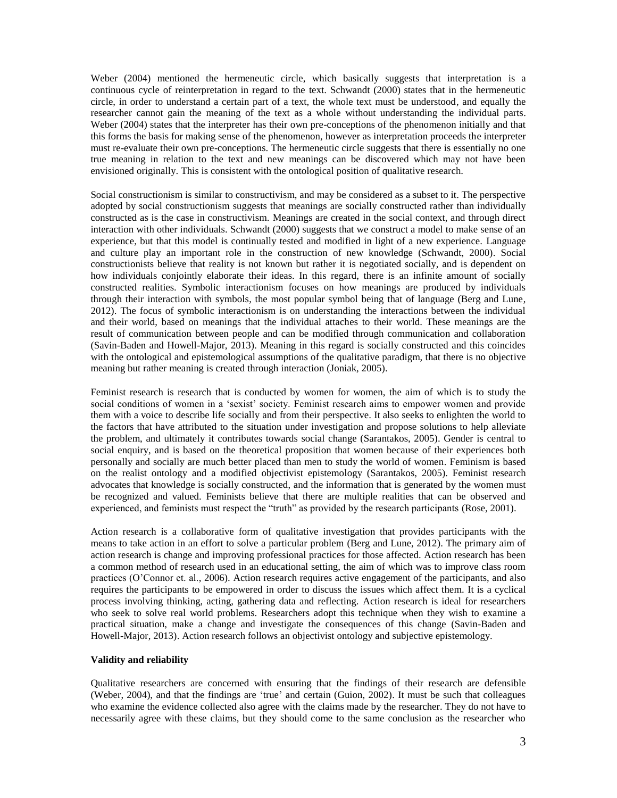Weber (2004) mentioned the hermeneutic circle, which basically suggests that interpretation is a continuous cycle of reinterpretation in regard to the text. Schwandt (2000) states that in the hermeneutic circle, in order to understand a certain part of a text, the whole text must be understood, and equally the researcher cannot gain the meaning of the text as a whole without understanding the individual parts. Weber (2004) states that the interpreter has their own pre-conceptions of the phenomenon initially and that this forms the basis for making sense of the phenomenon, however as interpretation proceeds the interpreter must re-evaluate their own pre-conceptions. The hermeneutic circle suggests that there is essentially no one true meaning in relation to the text and new meanings can be discovered which may not have been envisioned originally. This is consistent with the ontological position of qualitative research.

Social constructionism is similar to constructivism, and may be considered as a subset to it. The perspective adopted by social constructionism suggests that meanings are socially constructed rather than individually constructed as is the case in constructivism. Meanings are created in the social context, and through direct interaction with other individuals. Schwandt (2000) suggests that we construct a model to make sense of an experience, but that this model is continually tested and modified in light of a new experience. Language and culture play an important role in the construction of new knowledge (Schwandt, 2000). Social constructionists believe that reality is not known but rather it is negotiated socially, and is dependent on how individuals conjointly elaborate their ideas. In this regard, there is an infinite amount of socially constructed realities. Symbolic interactionism focuses on how meanings are produced by individuals through their interaction with symbols, the most popular symbol being that of language (Berg and Lune, 2012). The focus of symbolic interactionism is on understanding the interactions between the individual and their world, based on meanings that the individual attaches to their world. These meanings are the result of communication between people and can be modified through communication and collaboration (Savin-Baden and Howell-Major, 2013). Meaning in this regard is socially constructed and this coincides with the ontological and epistemological assumptions of the qualitative paradigm, that there is no objective meaning but rather meaning is created through interaction (Joniak, 2005).

Feminist research is research that is conducted by women for women, the aim of which is to study the social conditions of women in a 'sexist' society. Feminist research aims to empower women and provide them with a voice to describe life socially and from their perspective. It also seeks to enlighten the world to the factors that have attributed to the situation under investigation and propose solutions to help alleviate the problem, and ultimately it contributes towards social change [\(Sarantakos,](http://www.google.ie/search?tbo=p&tbm=bks&q=inauthor:%22Sotirios+Sarantakos%22) 2005). Gender is central to social enquiry, and is based on the theoretical proposition that women because of their experiences both personally and socially are much better placed than men to study the world of women. Feminism is based on the realist ontology and a modified objectivist epistemology [\(Sarantakos,](http://www.google.ie/search?tbo=p&tbm=bks&q=inauthor:%22Sotirios+Sarantakos%22) 2005). Feminist research advocates that knowledge is socially constructed, and the information that is generated by the women must be recognized and valued. Feminists believe that there are multiple realities that can be observed and experienced, and feminists must respect the "truth" as provided by the research participants (Rose, 2001).

Action research is a collaborative form of qualitative investigation that provides participants with the means to take action in an effort to solve a particular problem (Berg and Lune, 2012). The primary aim of action research is change and improving professional practices for those affected. Action research has been a common method of research used in an educational setting, the aim of which was to improve class room practices (O'Connor et. al., 2006). Action research requires active engagement of the participants, and also requires the participants to be empowered in order to discuss the issues which affect them. It is a cyclical process involving thinking, acting, gathering data and reflecting. Action research is ideal for researchers who seek to solve real world problems. Researchers adopt this technique when they wish to examine a practical situation, make a change and investigate the consequences of this change (Savin-Baden and Howell-Major, 2013). Action research follows an objectivist ontology and subjective epistemology.

# **Validity and reliability**

Qualitative researchers are concerned with ensuring that the findings of their research are defensible (Weber, 2004), and that the findings are 'true' and certain (Guion, 2002). It must be such that colleagues who examine the evidence collected also agree with the claims made by the researcher. They do not have to necessarily agree with these claims, but they should come to the same conclusion as the researcher who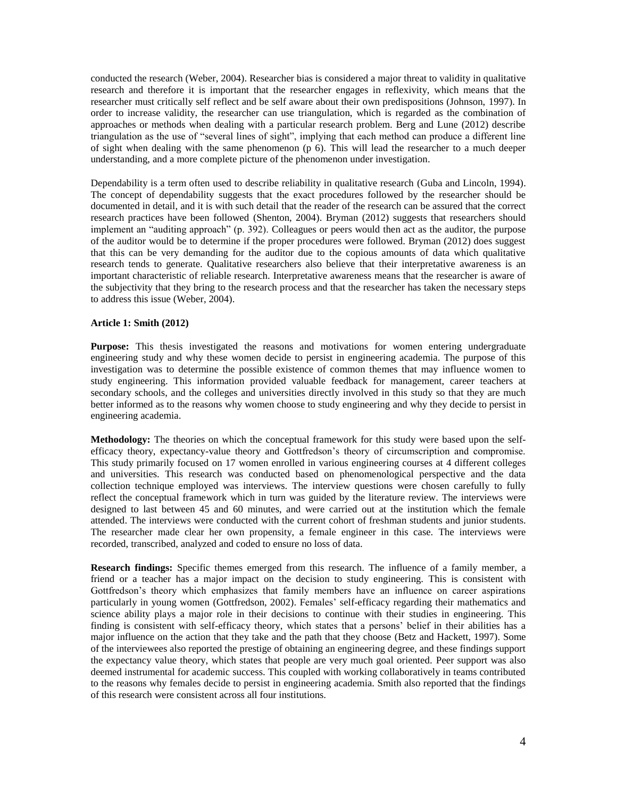conducted the research (Weber, 2004). Researcher bias is considered a major threat to validity in qualitative research and therefore it is important that the researcher engages in reflexivity, which means that the researcher must critically self reflect and be self aware about their own predispositions (Johnson, 1997). In order to increase validity, the researcher can use triangulation, which is regarded as the combination of approaches or methods when dealing with a particular research problem. Berg and Lune (2012) describe triangulation as the use of "several lines of sight", implying that each method can produce a different line of sight when dealing with the same phenomenon  $(p\ 6)$ . This will lead the researcher to a much deeper understanding, and a more complete picture of the phenomenon under investigation.

Dependability is a term often used to describe reliability in qualitative research (Guba and Lincoln, 1994). The concept of dependability suggests that the exact procedures followed by the researcher should be documented in detail, and it is with such detail that the reader of the research can be assured that the correct research practices have been followed (Shenton, 2004). Bryman (2012) suggests that researchers should implement an "auditing approach" (p. 392). Colleagues or peers would then act as the auditor, the purpose of the auditor would be to determine if the proper procedures were followed. Bryman (2012) does suggest that this can be very demanding for the auditor due to the copious amounts of data which qualitative research tends to generate. Qualitative researchers also believe that their interpretative awareness is an important characteristic of reliable research. Interpretative awareness means that the researcher is aware of the subjectivity that they bring to the research process and that the researcher has taken the necessary steps to address this issue (Weber, 2004).

## **Article 1: Smith (2012)**

**Purpose:** This thesis investigated the reasons and motivations for women entering undergraduate engineering study and why these women decide to persist in engineering academia. The purpose of this investigation was to determine the possible existence of common themes that may influence women to study engineering. This information provided valuable feedback for management, career teachers at secondary schools, and the colleges and universities directly involved in this study so that they are much better informed as to the reasons why women choose to study engineering and why they decide to persist in engineering academia.

**Methodology:** The theories on which the conceptual framework for this study were based upon the selfefficacy theory, expectancy-value theory and Gottfredson's theory of circumscription and compromise. This study primarily focused on 17 women enrolled in various engineering courses at 4 different colleges and universities. This research was conducted based on phenomenological perspective and the data collection technique employed was interviews. The interview questions were chosen carefully to fully reflect the conceptual framework which in turn was guided by the literature review. The interviews were designed to last between 45 and 60 minutes, and were carried out at the institution which the female attended. The interviews were conducted with the current cohort of freshman students and junior students. The researcher made clear her own propensity, a female engineer in this case. The interviews were recorded, transcribed, analyzed and coded to ensure no loss of data.

**Research findings:** Specific themes emerged from this research. The influence of a family member, a friend or a teacher has a major impact on the decision to study engineering. This is consistent with Gottfredson's theory which emphasizes that family members have an influence on career aspirations particularly in young women (Gottfredson, 2002). Females' self-efficacy regarding their mathematics and science ability plays a major role in their decisions to continue with their studies in engineering. This finding is consistent with self-efficacy theory, which states that a persons' belief in their abilities has a major influence on the action that they take and the path that they choose (Betz and Hackett, 1997). Some of the interviewees also reported the prestige of obtaining an engineering degree, and these findings support the expectancy value theory, which states that people are very much goal oriented. Peer support was also deemed instrumental for academic success. This coupled with working collaboratively in teams contributed to the reasons why females decide to persist in engineering academia. Smith also reported that the findings of this research were consistent across all four institutions.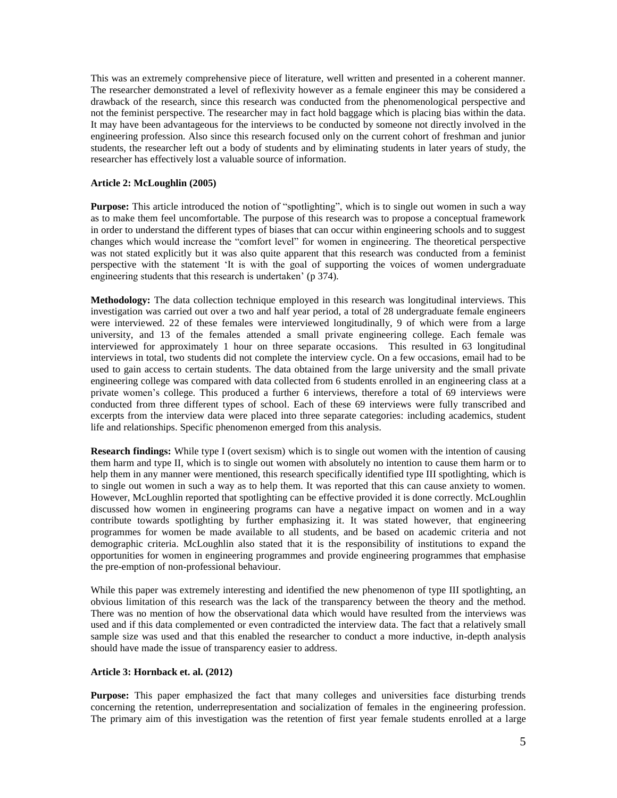This was an extremely comprehensive piece of literature, well written and presented in a coherent manner. The researcher demonstrated a level of reflexivity however as a female engineer this may be considered a drawback of the research, since this research was conducted from the phenomenological perspective and not the feminist perspective. The researcher may in fact hold baggage which is placing bias within the data. It may have been advantageous for the interviews to be conducted by someone not directly involved in the engineering profession. Also since this research focused only on the current cohort of freshman and junior students, the researcher left out a body of students and by eliminating students in later years of study, the researcher has effectively lost a valuable source of information.

# **Article 2: McLoughlin (2005)**

**Purpose:** This article introduced the notion of "spotlighting", which is to single out women in such a way as to make them feel uncomfortable. The purpose of this research was to propose a conceptual framework in order to understand the different types of biases that can occur within engineering schools and to suggest changes which would increase the "comfort level" for women in engineering. The theoretical perspective was not stated explicitly but it was also quite apparent that this research was conducted from a feminist perspective with the statement 'It is with the goal of supporting the voices of women undergraduate engineering students that this research is undertaken' (p 374).

**Methodology:** The data collection technique employed in this research was longitudinal interviews. This investigation was carried out over a two and half year period, a total of 28 undergraduate female engineers were interviewed. 22 of these females were interviewed longitudinally, 9 of which were from a large university, and 13 of the females attended a small private engineering college. Each female was interviewed for approximately 1 hour on three separate occasions. This resulted in 63 longitudinal interviews in total, two students did not complete the interview cycle. On a few occasions, email had to be used to gain access to certain students. The data obtained from the large university and the small private engineering college was compared with data collected from 6 students enrolled in an engineering class at a private women's college. This produced a further 6 interviews, therefore a total of 69 interviews were conducted from three different types of school. Each of these 69 interviews were fully transcribed and excerpts from the interview data were placed into three separate categories: including academics, student life and relationships. Specific phenomenon emerged from this analysis.

**Research findings:** While type I (overt sexism) which is to single out women with the intention of causing them harm and type II, which is to single out women with absolutely no intention to cause them harm or to help them in any manner were mentioned, this research specifically identified type III spotlighting, which is to single out women in such a way as to help them. It was reported that this can cause anxiety to women. However, McLoughlin reported that spotlighting can be effective provided it is done correctly. McLoughlin discussed how women in engineering programs can have a negative impact on women and in a way contribute towards spotlighting by further emphasizing it. It was stated however, that engineering programmes for women be made available to all students, and be based on academic criteria and not demographic criteria. McLoughlin also stated that it is the responsibility of institutions to expand the opportunities for women in engineering programmes and provide engineering programmes that emphasise the pre-emption of non-professional behaviour.

While this paper was extremely interesting and identified the new phenomenon of type III spotlighting, an obvious limitation of this research was the lack of the transparency between the theory and the method. There was no mention of how the observational data which would have resulted from the interviews was used and if this data complemented or even contradicted the interview data. The fact that a relatively small sample size was used and that this enabled the researcher to conduct a more inductive, in-depth analysis should have made the issue of transparency easier to address.

## **Article 3: Hornback et. al. (2012)**

**Purpose:** This paper emphasized the fact that many colleges and universities face disturbing trends concerning the retention, underrepresentation and socialization of females in the engineering profession. The primary aim of this investigation was the retention of first year female students enrolled at a large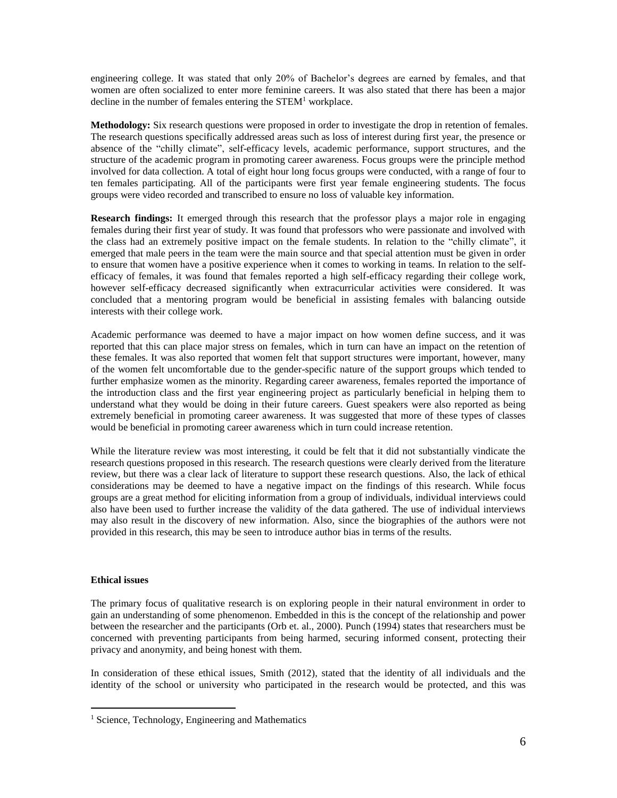engineering college. It was stated that only 20% of Bachelor's degrees are earned by females, and that women are often socialized to enter more feminine careers. It was also stated that there has been a major decline in the number of females entering the  $STEM<sup>1</sup>$  workplace.

**Methodology:** Six research questions were proposed in order to investigate the drop in retention of females. The research questions specifically addressed areas such as loss of interest during first year, the presence or absence of the "chilly climate", self-efficacy levels, academic performance, support structures, and the structure of the academic program in promoting career awareness. Focus groups were the principle method involved for data collection. A total of eight hour long focus groups were conducted, with a range of four to ten females participating. All of the participants were first year female engineering students. The focus groups were video recorded and transcribed to ensure no loss of valuable key information.

**Research findings:** It emerged through this research that the professor plays a major role in engaging females during their first year of study. It was found that professors who were passionate and involved with the class had an extremely positive impact on the female students. In relation to the "chilly climate", it emerged that male peers in the team were the main source and that special attention must be given in order to ensure that women have a positive experience when it comes to working in teams. In relation to the selfefficacy of females, it was found that females reported a high self-efficacy regarding their college work, however self-efficacy decreased significantly when extracurricular activities were considered. It was concluded that a mentoring program would be beneficial in assisting females with balancing outside interests with their college work.

Academic performance was deemed to have a major impact on how women define success, and it was reported that this can place major stress on females, which in turn can have an impact on the retention of these females. It was also reported that women felt that support structures were important, however, many of the women felt uncomfortable due to the gender-specific nature of the support groups which tended to further emphasize women as the minority. Regarding career awareness, females reported the importance of the introduction class and the first year engineering project as particularly beneficial in helping them to understand what they would be doing in their future careers. Guest speakers were also reported as being extremely beneficial in promoting career awareness. It was suggested that more of these types of classes would be beneficial in promoting career awareness which in turn could increase retention.

While the literature review was most interesting, it could be felt that it did not substantially vindicate the research questions proposed in this research. The research questions were clearly derived from the literature review, but there was a clear lack of literature to support these research questions. Also, the lack of ethical considerations may be deemed to have a negative impact on the findings of this research. While focus groups are a great method for eliciting information from a group of individuals, individual interviews could also have been used to further increase the validity of the data gathered. The use of individual interviews may also result in the discovery of new information. Also, since the biographies of the authors were not provided in this research, this may be seen to introduce author bias in terms of the results.

## **Ethical issues**

 $\overline{a}$ 

The primary focus of qualitative research is on exploring people in their natural environment in order to gain an understanding of some phenomenon. Embedded in this is the concept of the relationship and power between the researcher and the participants (Orb et. al., 2000). Punch (1994) states that researchers must be concerned with preventing participants from being harmed, securing informed consent, protecting their privacy and anonymity, and being honest with them.

In consideration of these ethical issues, Smith (2012), stated that the identity of all individuals and the identity of the school or university who participated in the research would be protected, and this was

<sup>&</sup>lt;sup>1</sup> Science, Technology, Engineering and Mathematics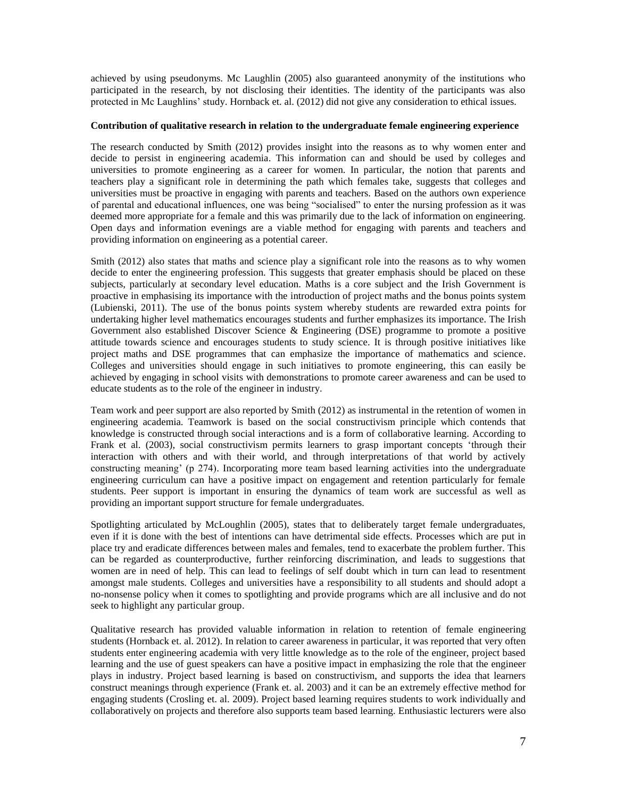achieved by using pseudonyms. Mc Laughlin (2005) also guaranteed anonymity of the institutions who participated in the research, by not disclosing their identities. The identity of the participants was also protected in Mc Laughlins' study. Hornback et. al. (2012) did not give any consideration to ethical issues.

## **Contribution of qualitative research in relation to the undergraduate female engineering experience**

The research conducted by Smith (2012) provides insight into the reasons as to why women enter and decide to persist in engineering academia. This information can and should be used by colleges and universities to promote engineering as a career for women. In particular, the notion that parents and teachers play a significant role in determining the path which females take, suggests that colleges and universities must be proactive in engaging with parents and teachers. Based on the authors own experience of parental and educational influences, one was being "socialised" to enter the nursing profession as it was deemed more appropriate for a female and this was primarily due to the lack of information on engineering. Open days and information evenings are a viable method for engaging with parents and teachers and providing information on engineering as a potential career.

Smith (2012) also states that maths and science play a significant role into the reasons as to why women decide to enter the engineering profession. This suggests that greater emphasis should be placed on these subjects, particularly at secondary level education. Maths is a core subject and the Irish Government is proactive in emphasising its importance with the introduction of project maths and the bonus points system (Lubienski, 2011). The use of the bonus points system whereby students are rewarded extra points for undertaking higher level mathematics encourages students and further emphasizes its importance. The Irish Government also established Discover Science & Engineering (DSE) programme to promote a positive attitude towards science and encourages students to study science. It is through positive initiatives like project maths and DSE programmes that can emphasize the importance of mathematics and science. Colleges and universities should engage in such initiatives to promote engineering, this can easily be achieved by engaging in school visits with demonstrations to promote career awareness and can be used to educate students as to the role of the engineer in industry.

Team work and peer support are also reported by Smith (2012) as instrumental in the retention of women in engineering academia. Teamwork is based on the social constructivism principle which contends that knowledge is constructed through social interactions and is a form of collaborative learning. According to Frank et al. (2003), social constructivism permits learners to grasp important concepts 'through their interaction with others and with their world, and through interpretations of that world by actively constructing meaning' (p 274). Incorporating more team based learning activities into the undergraduate engineering curriculum can have a positive impact on engagement and retention particularly for female students. Peer support is important in ensuring the dynamics of team work are successful as well as providing an important support structure for female undergraduates.

Spotlighting articulated by McLoughlin (2005), states that to deliberately target female undergraduates, even if it is done with the best of intentions can have detrimental side effects. Processes which are put in place try and eradicate differences between males and females, tend to exacerbate the problem further. This can be regarded as counterproductive, further reinforcing discrimination, and leads to suggestions that women are in need of help. This can lead to feelings of self doubt which in turn can lead to resentment amongst male students. Colleges and universities have a responsibility to all students and should adopt a no-nonsense policy when it comes to spotlighting and provide programs which are all inclusive and do not seek to highlight any particular group.

Qualitative research has provided valuable information in relation to retention of female engineering students (Hornback et. al. 2012). In relation to career awareness in particular, it was reported that very often students enter engineering academia with very little knowledge as to the role of the engineer, project based learning and the use of guest speakers can have a positive impact in emphasizing the role that the engineer plays in industry. Project based learning is based on constructivism, and supports the idea that learners construct meanings through experience (Frank et. al. 2003) and it can be an extremely effective method for engaging students (Crosling et. al. 2009). Project based learning requires students to work individually and collaboratively on projects and therefore also supports team based learning. Enthusiastic lecturers were also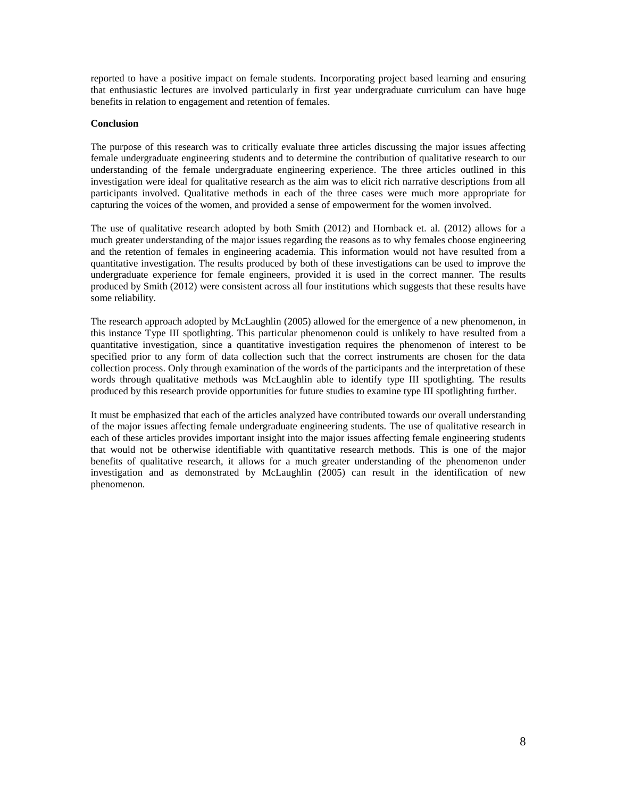reported to have a positive impact on female students. Incorporating project based learning and ensuring that enthusiastic lectures are involved particularly in first year undergraduate curriculum can have huge benefits in relation to engagement and retention of females.

#### **Conclusion**

The purpose of this research was to critically evaluate three articles discussing the major issues affecting female undergraduate engineering students and to determine the contribution of qualitative research to our understanding of the female undergraduate engineering experience. The three articles outlined in this investigation were ideal for qualitative research as the aim was to elicit rich narrative descriptions from all participants involved. Qualitative methods in each of the three cases were much more appropriate for capturing the voices of the women, and provided a sense of empowerment for the women involved.

The use of qualitative research adopted by both Smith (2012) and Hornback et. al. (2012) allows for a much greater understanding of the major issues regarding the reasons as to why females choose engineering and the retention of females in engineering academia. This information would not have resulted from a quantitative investigation. The results produced by both of these investigations can be used to improve the undergraduate experience for female engineers, provided it is used in the correct manner. The results produced by Smith (2012) were consistent across all four institutions which suggests that these results have some reliability.

The research approach adopted by McLaughlin (2005) allowed for the emergence of a new phenomenon, in this instance Type III spotlighting. This particular phenomenon could is unlikely to have resulted from a quantitative investigation, since a quantitative investigation requires the phenomenon of interest to be specified prior to any form of data collection such that the correct instruments are chosen for the data collection process. Only through examination of the words of the participants and the interpretation of these words through qualitative methods was McLaughlin able to identify type III spotlighting. The results produced by this research provide opportunities for future studies to examine type III spotlighting further.

It must be emphasized that each of the articles analyzed have contributed towards our overall understanding of the major issues affecting female undergraduate engineering students. The use of qualitative research in each of these articles provides important insight into the major issues affecting female engineering students that would not be otherwise identifiable with quantitative research methods. This is one of the major benefits of qualitative research, it allows for a much greater understanding of the phenomenon under investigation and as demonstrated by McLaughlin (2005) can result in the identification of new phenomenon.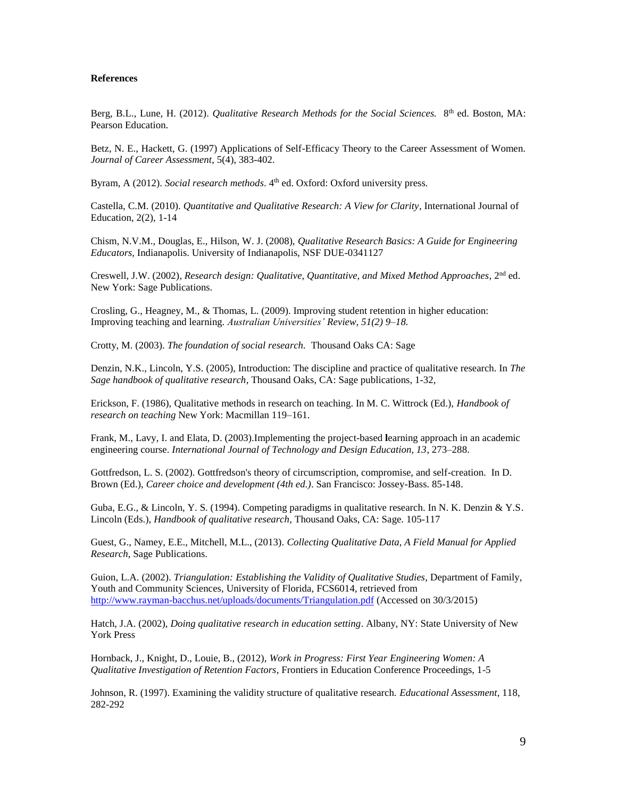#### **References**

Berg, B.L., Lune, H. (2012). *Qualitative Research Methods for the Social Sciences*. 8<sup>th</sup> ed. Boston, MA: Pearson Education.

Betz, N. E., Hackett, G. (1997) Applications of Self-Efficacy Theory to the Career Assessment of Women. *Journal of Career Assessment*, 5(4), 383-402.

Byram, A (2012). *Social research methods*. 4<sup>th</sup> ed. Oxford: Oxford university press.

Castella, C.M. (2010). *Quantitative and Qualitative Research: A View for Clarity*, International Journal of Education, 2(2), 1-14

Chism, N.V.M., Douglas, E., Hilson, W. J. (2008), *Qualitative Research Basics: A Guide for Engineering Educators,* Indianapolis. University of Indianapolis, NSF DUE-0341127

Creswell, J.W. (2002), *Research design: Qualitative, Quantitative, and Mixed Method Approaches*, 2<sup>nd</sup> ed. New York: Sage Publications.

Crosling, G., Heagney, M., & Thomas, L. (2009). Improving student retention in higher education: Improving teaching and learning*. Australian Universities' Review, 51(2) 9–18.*

Crotty, M. (2003). *The foundation of social research.* Thousand Oaks CA: Sage

Denzin, N.K., Lincoln, Y.S. (2005), Introduction: The discipline and practice of qualitative research. In *The Sage handbook of qualitative research*, Thousand Oaks, CA: Sage publications, 1-32,

Erickson, F. (1986), Qualitative methods in research on teaching. In M. C. Wittrock (Ed.), *Handbook of research on teaching* New York: Macmillan 119–161.

Frank, M., Lavy, I. and Elata, D. (2003).Implementing the project-based **l**earning approach in an academic engineering course. *International Journal of Technology and Design Education, 13*, 273–288.

Gottfredson, L. S. (2002). [Gottfredson's theory of circumscription, compromise, and self-creation.](http://www.udel.edu/educ/gottfredson/reprints/2002CCtheory.pdf) In D. Brown (Ed.), *Career choice and development (4th ed.)*. San Francisco: Jossey-Bass. 85-148.

Guba, E.G., & Lincoln, Y. S. (1994). Competing paradigms in qualitative research. In N. K. Denzin & Y.S. Lincoln (Eds.), *Handbook of qualitative research,* Thousand Oaks, CA: Sage. 105-117

Guest, G., Namey, E.E., Mitchell, M.L., (2013). *Collecting Qualitative Data, A Field Manual for Applied Research*, Sage Publications.

Guion, L.A. (2002). *Triangulation: Establishing the Validity of Qualitative Studies*, Department of Family, Youth and Community Sciences, University of Florida, FCS6014, retrieved from <http://www.rayman-bacchus.net/uploads/documents/Triangulation.pdf> (Accessed on 30/3/2015)

Hatch, J.A. (2002), *Doing qualitative research in education setting*. Albany, NY: State University of New York Press

Hornback, J., Knight, D., Louie, B., (2012), *Work in Progress: First Year Engineering Women: A Qualitative Investigation of Retention Factors*, Frontiers in Education Conference Proceedings, 1-5

Johnson, R. (1997). Examining the validity structure of qualitative research. *Educational Assessment*, 118, 282-292